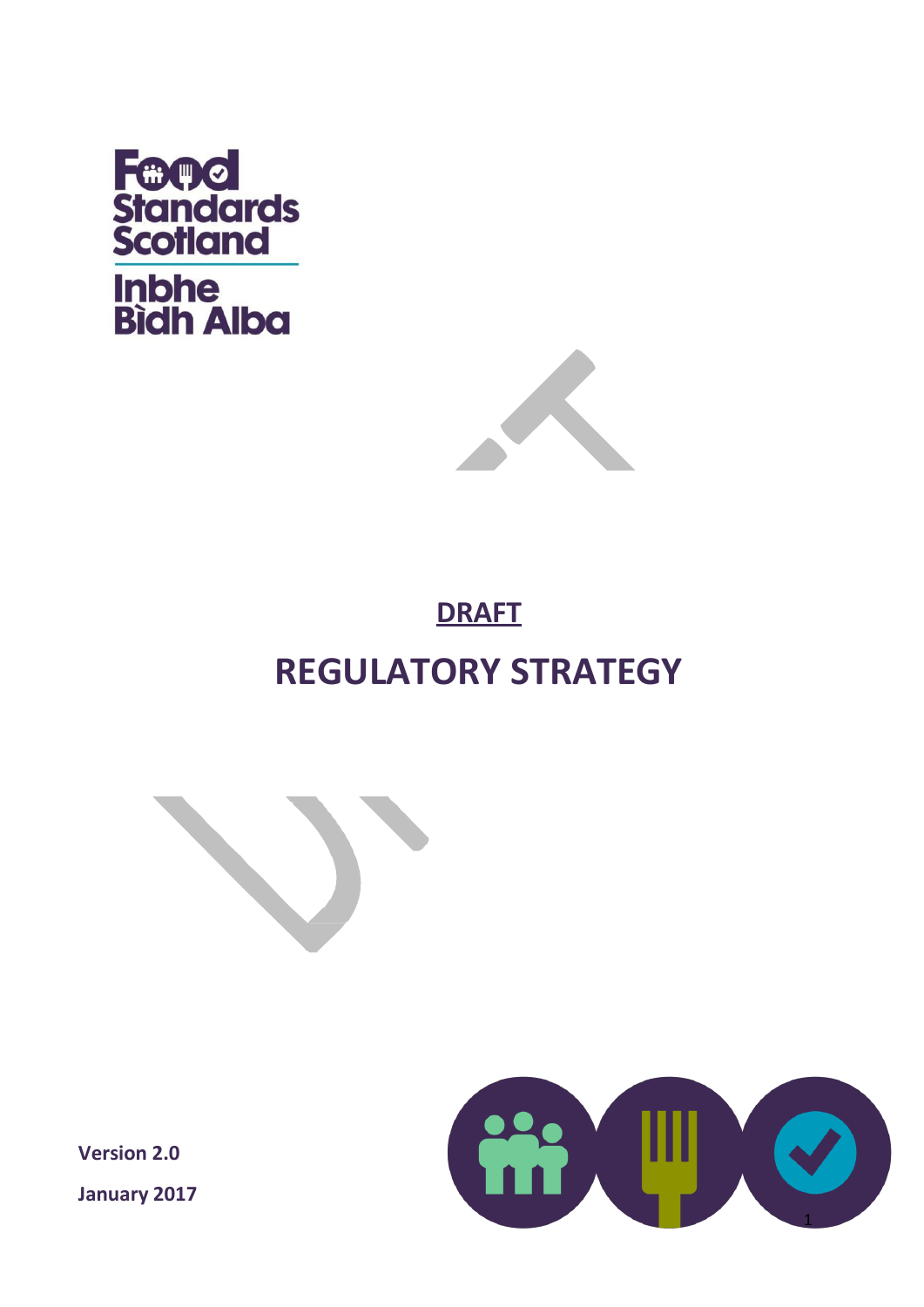



# **DRAFT REGULATORY STRATEGY**



**Version 2.0 January 2017**

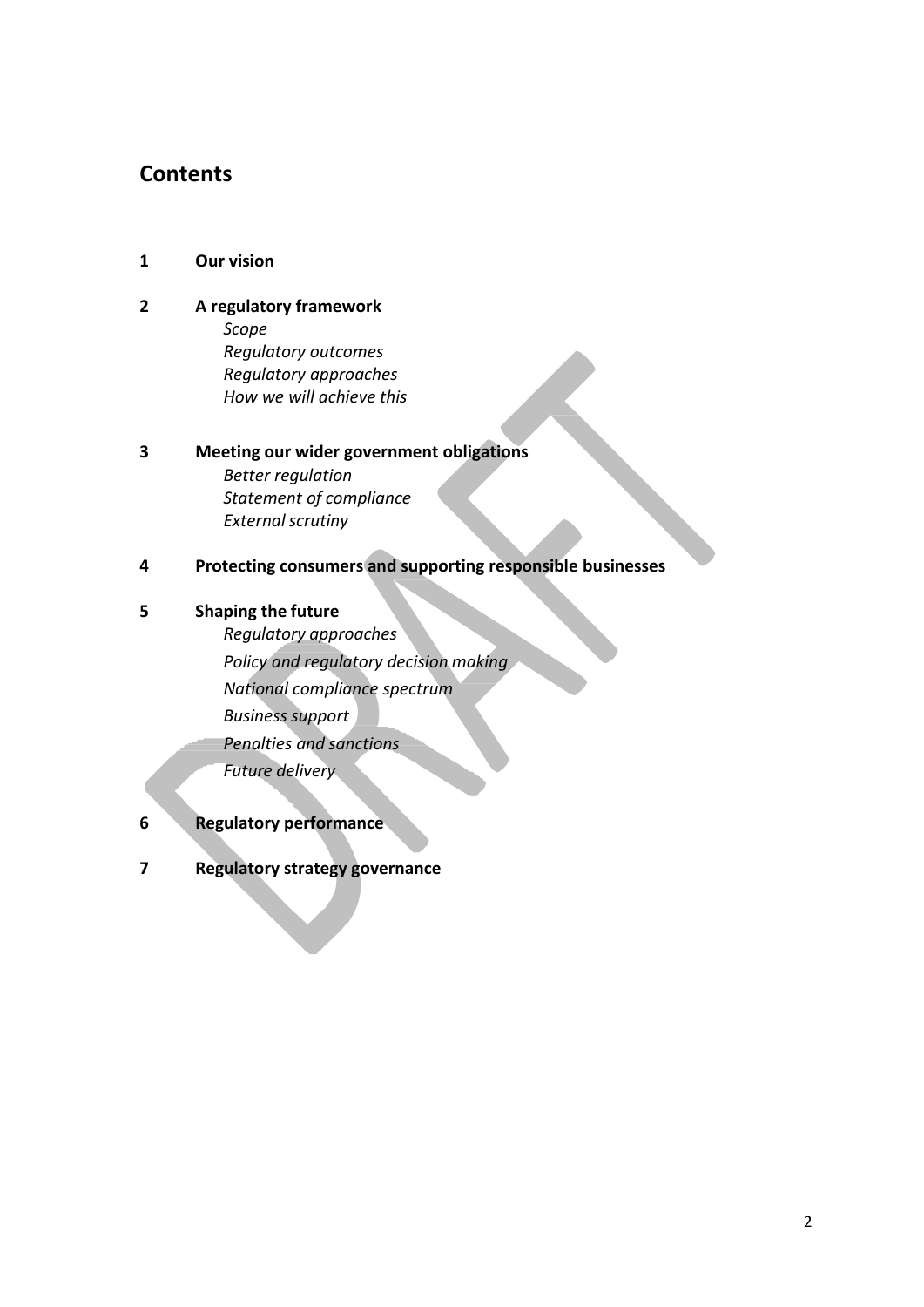## **Contents**

- **1 Our vision**
- **2 A regulatory framework**
	- *Scope Regulatory outcomes Regulatory approaches How we will achieve this*

## **3 Meeting our wider government obligations** *Better regulation Statement of compliance* **External scrutiny**

**4 Protecting consumers and supporting responsible businesses**

#### **5 Shaping the future**

- *Regulatory approaches Policy and regulatory decision making National compliance spectrum Business support Penalties and sanctions Future delivery*
- **6 Regulatory performance**
- **7 Regulatory strategy governance**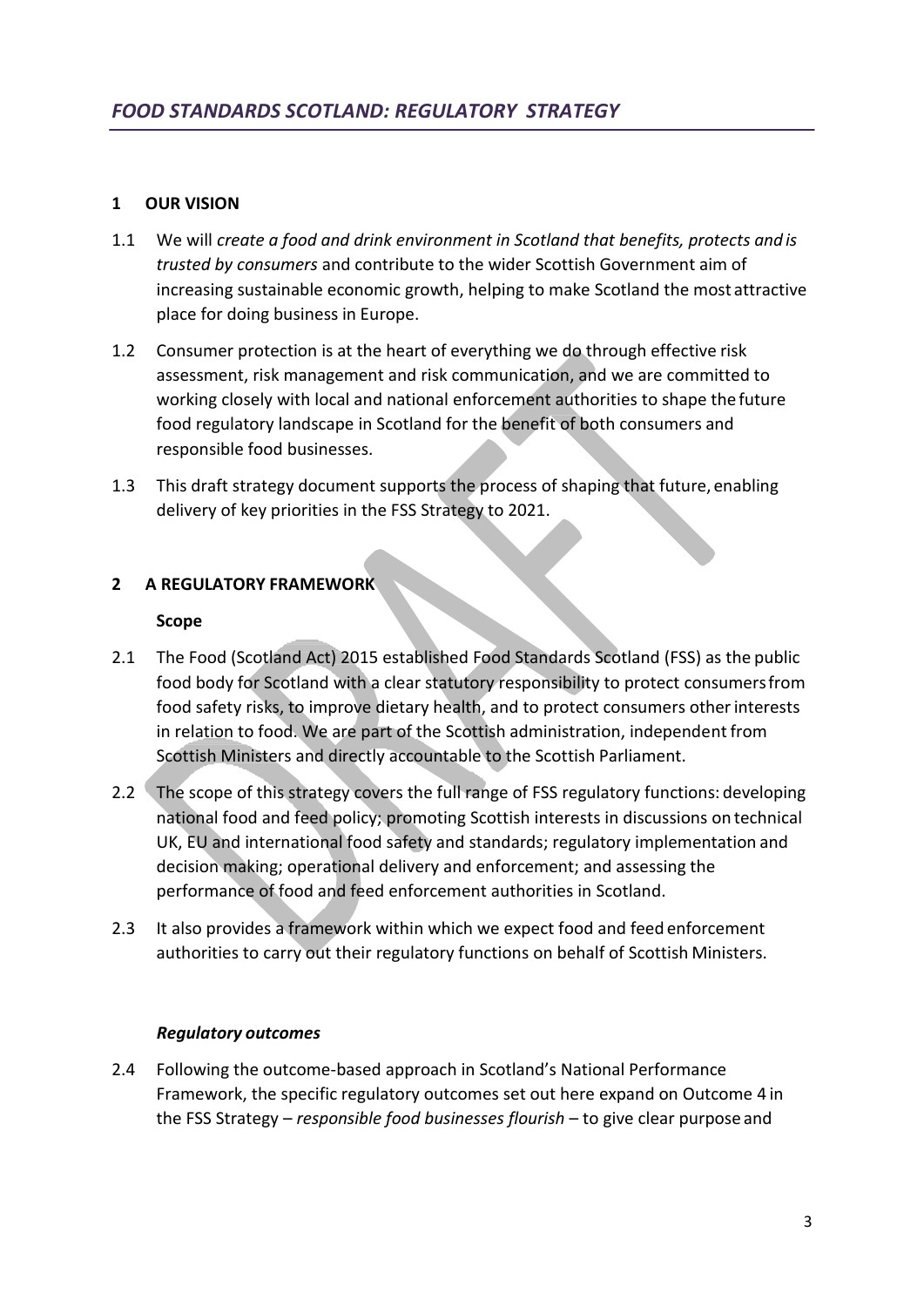#### **1 OUR VISION**

- 1.1 We will *create a food and drink environment in Scotland that benefits, protects and is trusted by consumers* and contribute to the wider Scottish Government aim of increasing sustainable economic growth, helping to make Scotland the most attractive place for doing business in Europe.
- 1.2 Consumer protection is at the heart of everything we do through effective risk assessment, risk management and risk communication, and we are committed to working closely with local and national enforcement authorities to shape the future food regulatory landscape in Scotland for the benefit of both consumers and responsible food businesses.
- 1.3 This draft strategy document supports the process of shaping that future, enabling delivery of key priorities in the FSS Strategy to 2021.

#### **2 A REGULATORY FRAMEWORK**

#### **Scope**

- 2.1 The Food (Scotland Act) 2015 established Food Standards Scotland (FSS) as the public food body for Scotland with a clear statutory responsibility to protect consumersfrom food safety risks, to improve dietary health, and to protect consumers otherinterests in relation to food. We are part of the Scottish administration, independent from Scottish Ministers and directly accountable to the Scottish Parliament.
- 2.2 The scope of this strategy covers the full range of FSS regulatory functions: developing national food and feed policy; promoting Scottish interests in discussions on technical UK, EU and international food safety and standards; regulatory implementation and decision making; operational delivery and enforcement; and assessing the performance of food and feed enforcement authorities in Scotland.
- 2.3 It also provides a framework within which we expect food and feed enforcement authorities to carry out their regulatory functions on behalf of Scottish Ministers.

#### *Regulatory outcomes*

2.4 Following the outcome-based approach in Scotland's National Performance Framework, the specific regulatory outcomes set out here expand on Outcome 4 in the FSS Strategy – *responsible food businesses flourish* – to give clear purpose and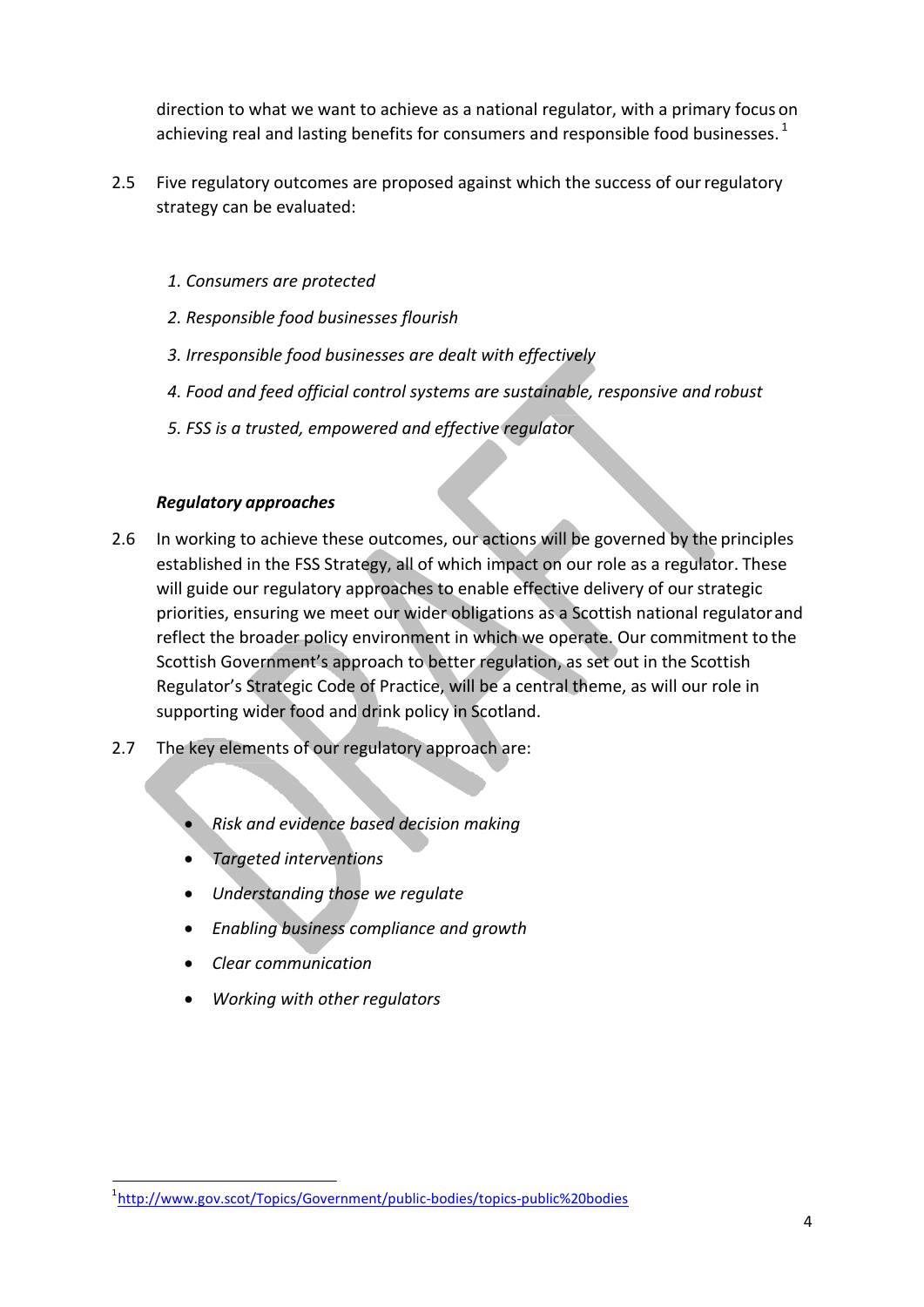direction to what we want to achieve as a national regulator, with a primary focus on achieving real and lasting benefits for consumers and responsible food businesses.  $1$ 

- 2.5 Five regulatory outcomes are proposed against which the success of ourregulatory strategy can be evaluated:
	- *1. Consumers are protected*
	- *2. Responsible food businesses flourish*
	- *3. Irresponsible food businesses are dealt with effectively*
	- *4. Food and feed official control systems are sustainable, responsive and robust*
	- *5. FSS is a trusted, empowered and effective regulator*

#### *Regulatory approaches*

- 2.6 In working to achieve these outcomes, our actions will be governed by the principles established in the FSS Strategy, all of which impact on our role as a regulator. These will guide our regulatory approaches to enable effective delivery of our strategic priorities, ensuring we meet our wider obligations as a Scottish national regulatorand reflect the broader policy environment in which we operate. Our commitment to the Scottish Government's approach to better regulation, as set out in the Scottish Regulator's Strategic Code of Practice, will be a central theme, as will our role in supporting wider food and drink policy in Scotland.
- 2.7 The key elements of our regulatory approach are:
	- *Risk and evidence based decision making*
	- *Targeted interventions*
	- *Understanding those we regulate*
	- *Enabling business compliance and growth*
	- *Clear communication*
	- *Working with other regulators*

<sup>1</sup> <http://www.gov.scot/Topics/Government/public-bodies/topics-public%20bodies>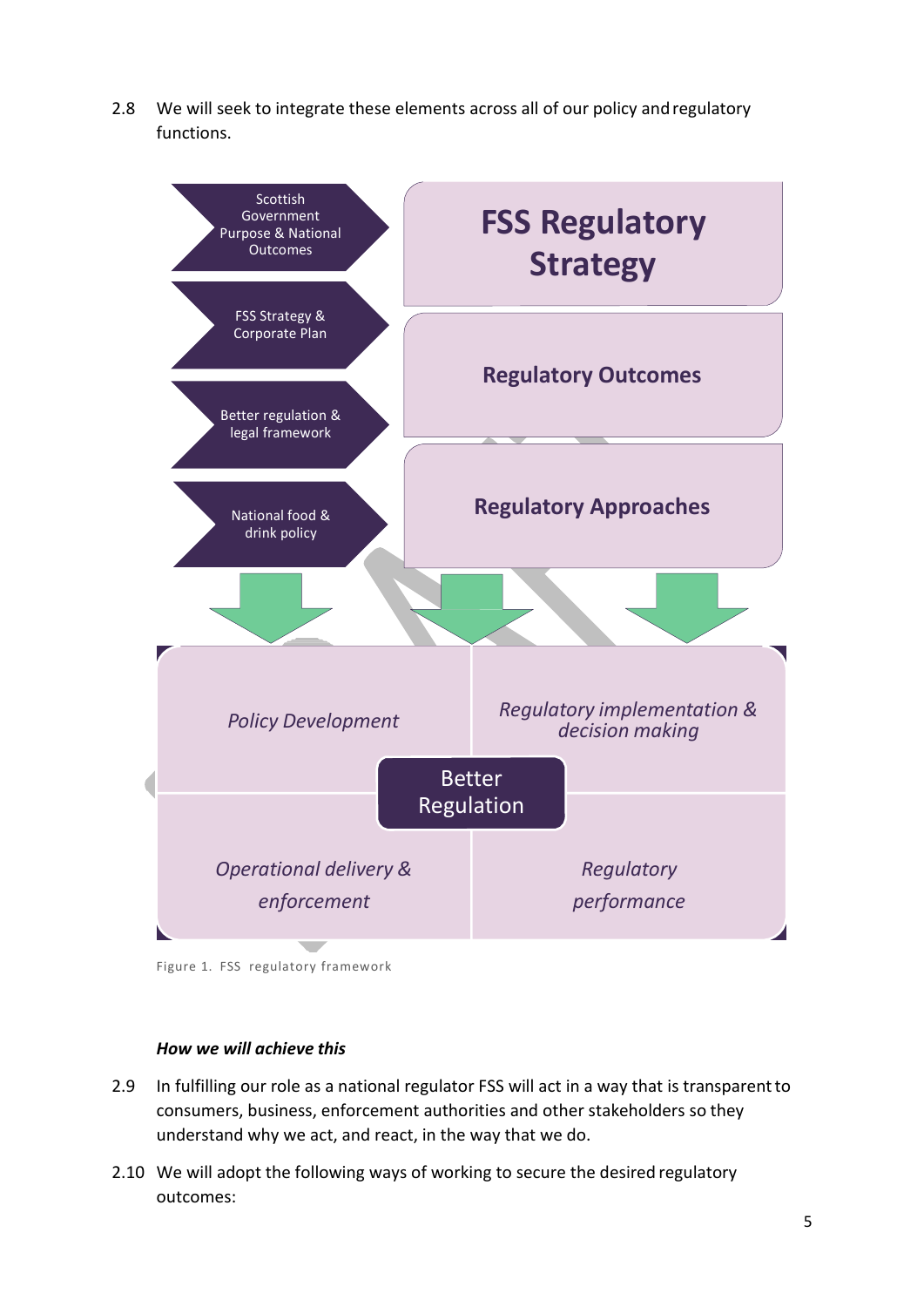2.8 We will seek to integrate these elements across all of our policy andregulatory functions.



Figure 1. FSS regulatory framework

#### *How we will achieve this*

- 2.9 In fulfilling our role as a national regulator FSS will act in a way that is transparent to consumers, business, enforcement authorities and other stakeholders so they understand why we act, and react, in the way that we do.
- 2.10 We will adopt the following ways of working to secure the desired regulatory outcomes: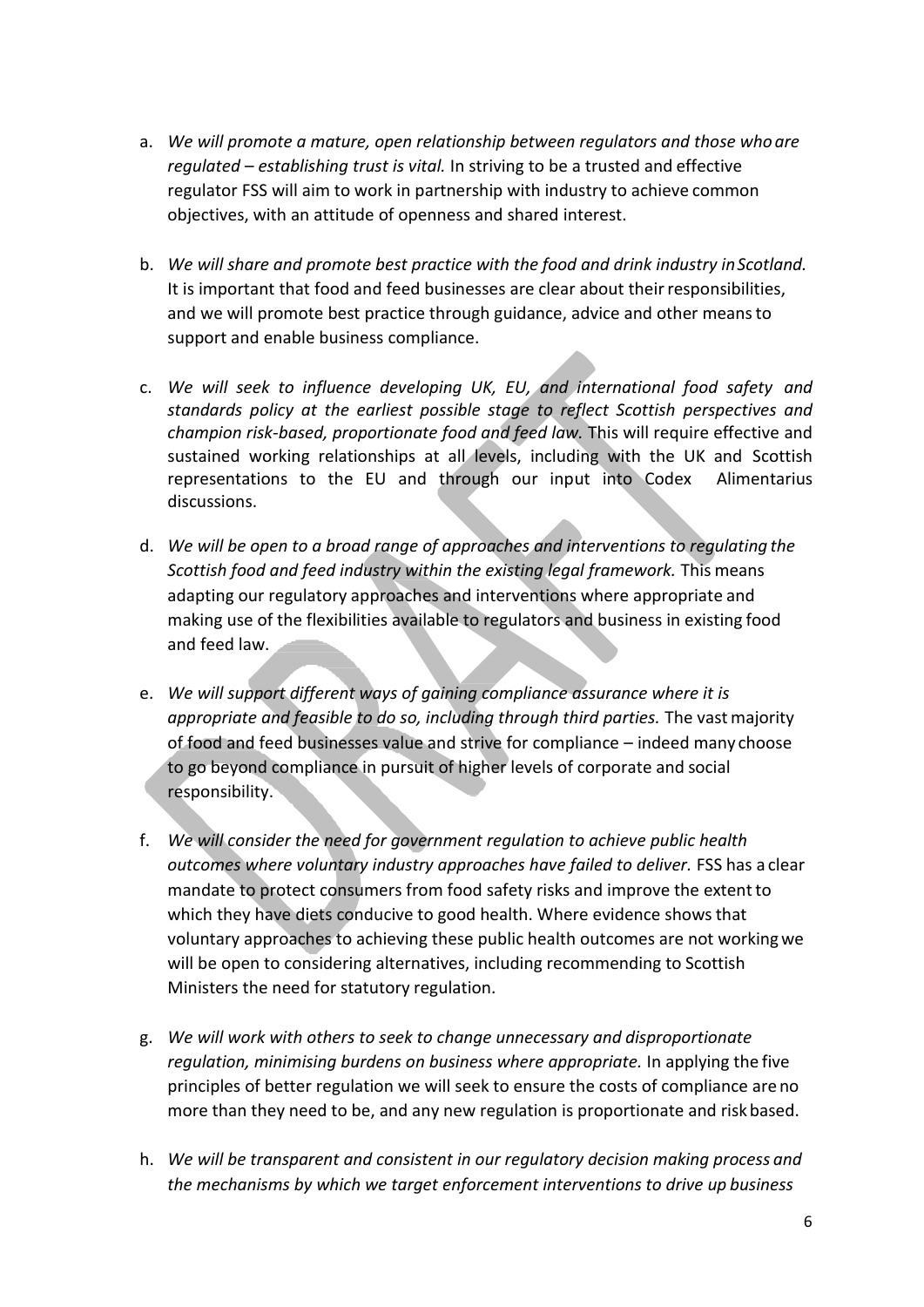- a. *We will promote a mature, open relationship between regulators and those who are regulated – establishing trust is vital.* In striving to be a trusted and effective regulator FSS will aim to work in partnership with industry to achieve common objectives, with an attitude of openness and shared interest.
- b. *We will share and promote best practice with the food and drink industry inScotland.* It is important that food and feed businesses are clear about their responsibilities, and we will promote best practice through guidance, advice and other meansto support and enable business compliance.
- c. *We will seek to influence developing UK, EU, and international food safety and standards policy at the earliest possible stage to reflect Scottish perspectives and champion risk-based, proportionate food and feed law.* This will require effective and sustained working relationships at all levels, including with the UK and Scottish representations to the EU and through our input into Codex Alimentarius discussions.
- d. *We will be open to a broad range of approaches and interventions to regulating the Scottish food and feed industry within the existing legal framework.* This means adapting our regulatory approaches and interventions where appropriate and making use of the flexibilities available to regulators and business in existing food and feed law.
- e. *We will support different ways of gaining compliance assurance where it is appropriate and feasible to do so, including through third parties.* The vastmajority of food and feed businesses value and strive for compliance – indeed many choose to go beyond compliance in pursuit of higher levels of corporate and social responsibility.
- f. *We will consider the need for government regulation to achieve public health outcomes where voluntary industry approaches have failed to deliver.* FSS has a clear mandate to protect consumers from food safety risks and improve the extent to which they have diets conducive to good health. Where evidence showsthat voluntary approaches to achieving these public health outcomes are not workingwe will be open to considering alternatives, including recommending to Scottish Ministers the need for statutory regulation.
- g. *We will work with others to seek to change unnecessary and disproportionate regulation, minimising burdens on business where appropriate.* In applying the five principles of better regulation we will seek to ensure the costs of compliance areno more than they need to be, and any new regulation is proportionate and riskbased.
- h. *We will be transparent and consistent in our regulatory decision making process and the mechanisms by which we target enforcement interventions to drive up business*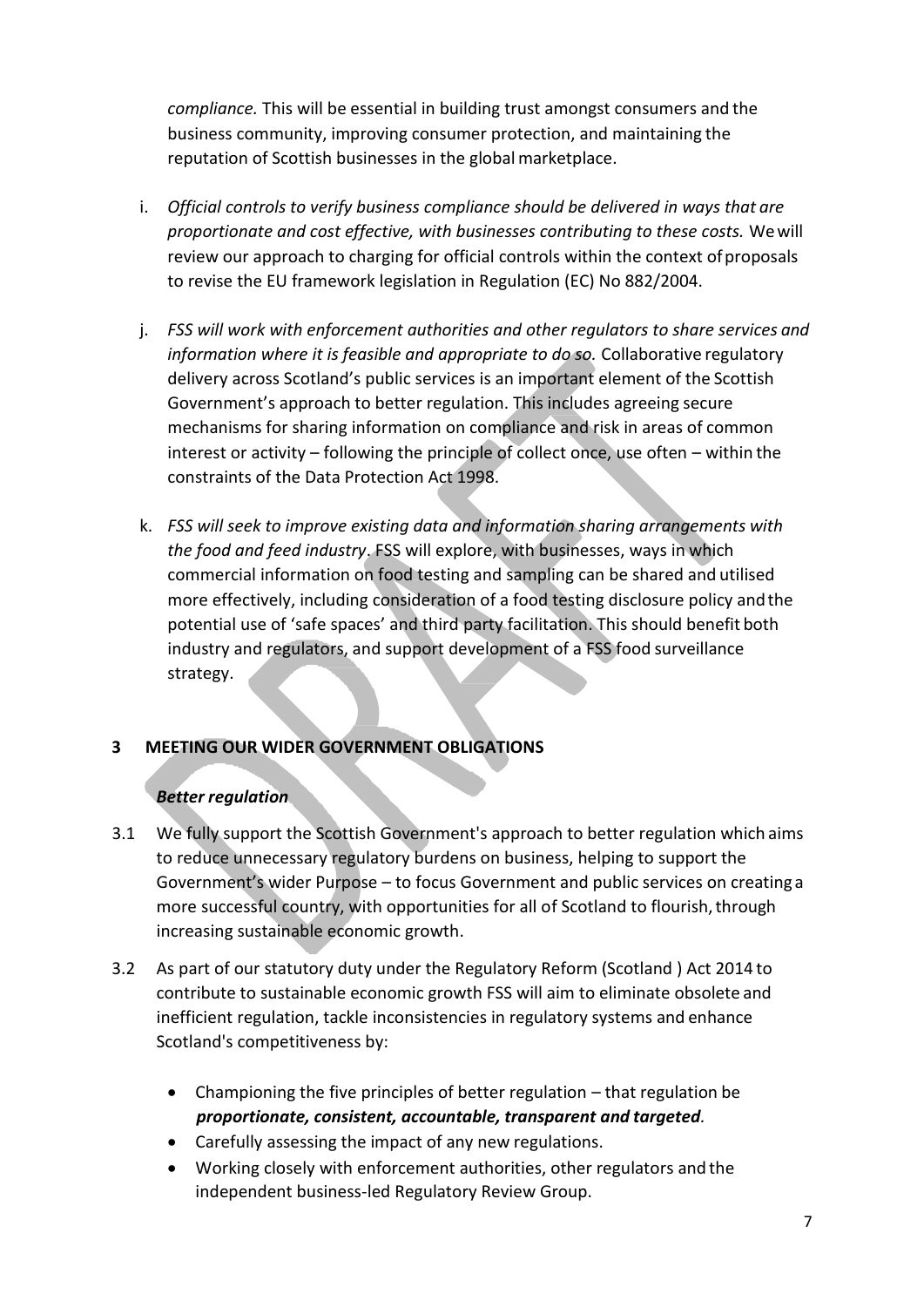*compliance.* This will be essential in building trust amongst consumers and the business community, improving consumer protection, and maintaining the reputation of Scottish businesses in the global marketplace.

- i. *Official controls to verify business compliance should be delivered in ways that are proportionate and cost effective, with businesses contributing to these costs.* Wewill review our approach to charging for official controls within the context of proposals to revise the EU framework legislation in Regulation (EC) No 882/2004.
- j. *FSS will work with enforcement authorities and other regulators to share services and information where it is feasible and appropriate to do so.* Collaborative regulatory delivery across Scotland's public services is an important element of the Scottish Government's approach to better regulation. This includes agreeing secure mechanisms for sharing information on compliance and risk in areas of common interest or activity – following the principle of collect once, use often – within the constraints of the Data Protection Act 1998.
- k. *FSS will seek to improve existing data and information sharing arrangements with the food and feed industry*. FSS will explore, with businesses, ways in which commercial information on food testing and sampling can be shared and utilised more effectively, including consideration of a food testing disclosure policy andthe potential use of 'safe spaces' and third party facilitation. This should benefit both industry and regulators, and support development of a FSS food surveillance strategy.

## **3 MEETING OUR WIDER GOVERNMENT OBLIGATIONS**

## *Better regulation*

- 3.1 We fully support the Scottish Government's approach to better regulation which aims to reduce unnecessary regulatory burdens on business, helping to support the Government's wider Purpose – to focus Government and public services on creating a more successful country, with opportunities for all of Scotland to flourish, through increasing sustainable economic growth.
- 3.2 As part of our statutory duty under the Regulatory Reform (Scotland ) Act 2014 to contribute to sustainable economic growth FSS will aim to eliminate obsolete and inefficient regulation, tackle inconsistencies in regulatory systems and enhance Scotland's competitiveness by:
	- Championing the five principles of better regulation that regulation be *proportionate, consistent, accountable, transparent and targeted.*
	- Carefully assessing the impact of any new regulations.
	- Working closely with enforcement authorities, other regulators and the independent business-led Regulatory Review Group.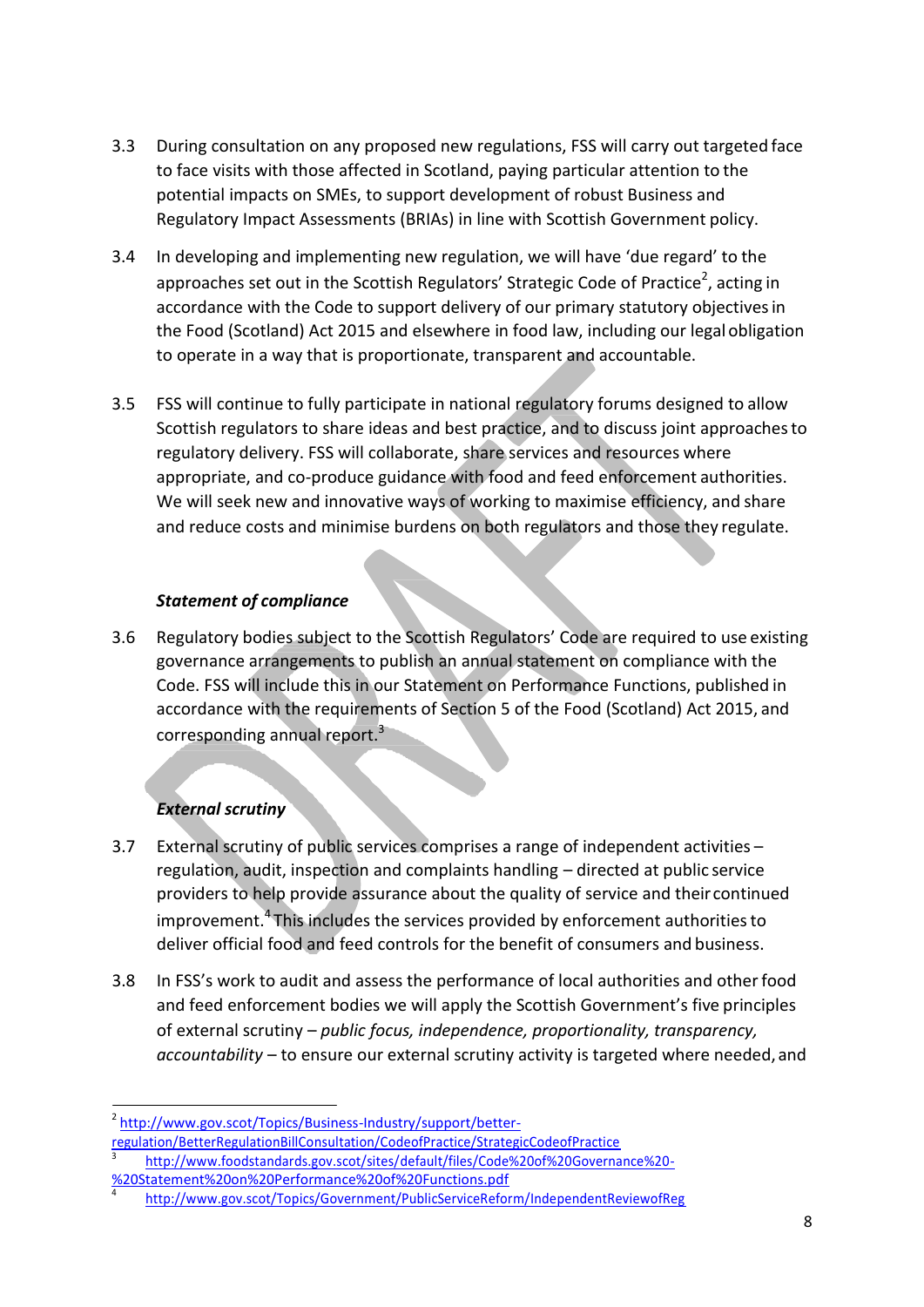- 3.3 During consultation on any proposed new regulations, FSS will carry out targeted face to face visits with those affected in Scotland, paying particular attention to the potential impacts on SMEs, to support development of robust Business and Regulatory Impact Assessments (BRIAs) in line with Scottish Government policy.
- 3.4 In developing and implementing new regulation, we will have 'due regard' to the approaches set out in the Scottish Regulators' Strategic Code of Practice<sup>2</sup>, acting in accordance with the Code to support delivery of our primary statutory objectives in the Food (Scotland) Act 2015 and elsewhere in food law, including our legal obligation to operate in a way that is proportionate, transparent and accountable.
- 3.5 FSS will continue to fully participate in national regulatory forums designed to allow Scottish regulators to share ideas and best practice, and to discuss joint approachesto regulatory delivery. FSS will collaborate, share services and resources where appropriate, and co-produce guidance with food and feed enforcement authorities. We will seek new and innovative ways of working to maximise efficiency, and share and reduce costs and minimise burdens on both regulators and those they regulate.

## *Statement of compliance*

3.6 Regulatory bodies subject to the Scottish Regulators' Code are required to use existing governance arrangements to publish an annual statement on compliance with the Code. FSS will include this in our Statement on Performance Functions, published in accordance with the requirements of Section 5 of the Food (Scotland) Act 2015, and corresponding annual report.<sup>3</sup>

## *External scrutiny*

- 3.7 External scrutiny of public services comprises a range of independent activities regulation, audit, inspection and complaints handling – directed at public service providers to help provide assurance about the quality of service and their continued improvement.<sup>4</sup> This includes the services provided by enforcement authorities to deliver official food and feed controls for the benefit of consumers and business.
- 3.8 In FSS's work to audit and assess the performance of local authorities and otherfood and feed enforcement bodies we will apply the Scottish Government's five principles of external scrutiny – *public focus, independence, proportionality, transparency, accountability* – to ensure our external scrutiny activity is targeted where needed,and

<sup>&</sup>lt;sup>2</sup> [http://www.gov.scot/Topics/Business-Industry/support/better-](http://www.gov.scot/Topics/Business-Industry/support/better-regulation/BetterRegulationBillConsultation/CodeofPractice/StrategicCodeofPractice)

[regulation/BetterRegulationBillConsultation/CodeofPractice/StrategicCodeofPractice](http://www.gov.scot/Topics/Business-Industry/support/better-regulation/BetterRegulationBillConsultation/CodeofPractice/StrategicCodeofPractice) <sup>3</sup>[http://www.foodstandards.gov.scot/sites/default/files/Code%20of%20Governance%20-](http://www.foodstandards.gov.scot/sites/default/files/Code%20of%20Governance%20-%20Statement%20on%20Performance%20of%20Functions.pdf)

[<sup>%20</sup>Statement%20on%20Performance%20of%20Functions.pdf](http://www.foodstandards.gov.scot/sites/default/files/Code%20of%20Governance%20-%20Statement%20on%20Performance%20of%20Functions.pdf)

<sup>4</sup><http://www.gov.scot/Topics/Government/PublicServiceReform/IndependentReviewofReg>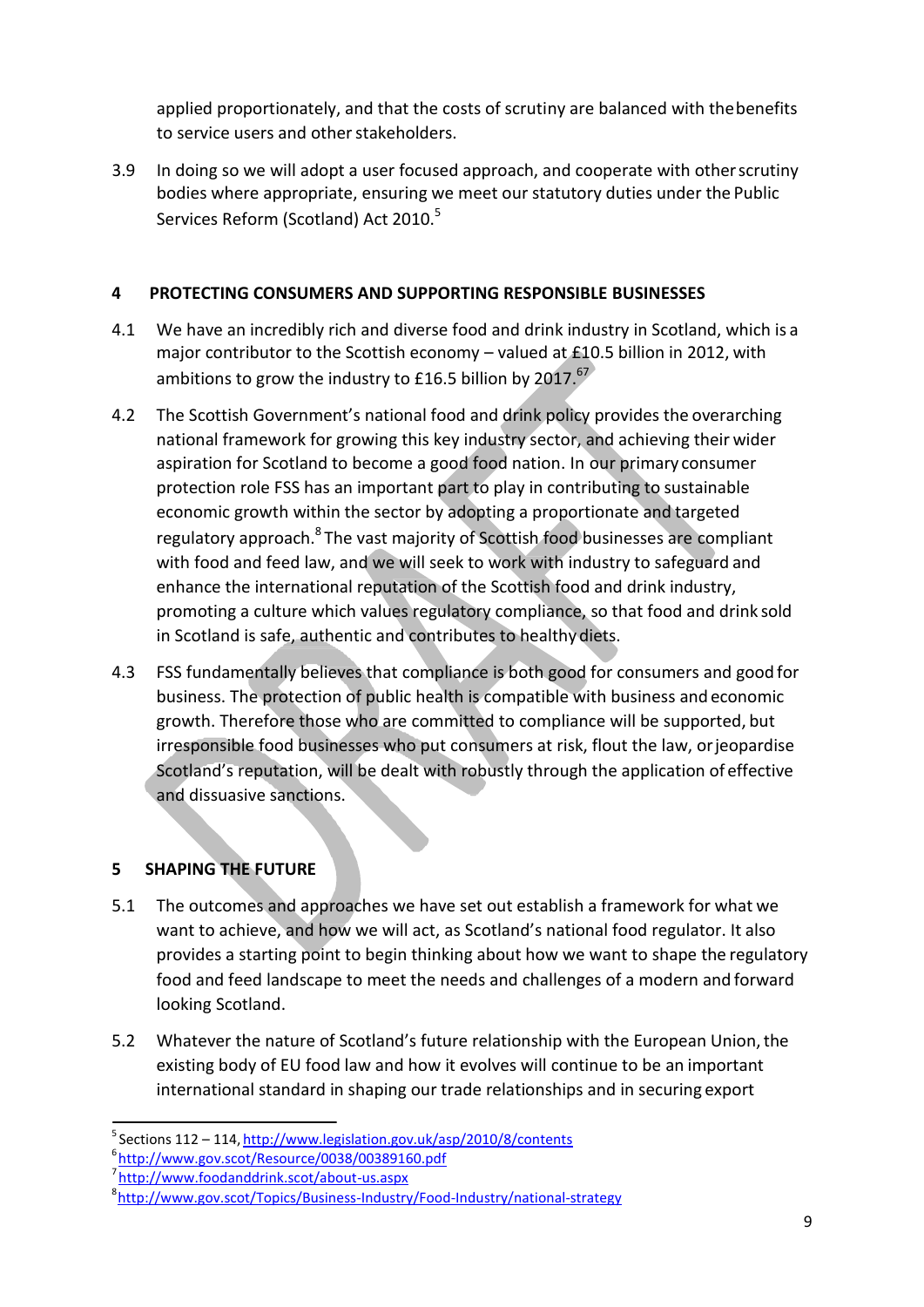applied proportionately, and that the costs of scrutiny are balanced with thebenefits to service users and other stakeholders.

3.9 In doing so we will adopt a user focused approach, and cooperate with otherscrutiny bodies where appropriate, ensuring we meet our statutory duties under the Public Services Reform (Scotland) Act 2010.<sup>5</sup>

## **4 PROTECTING CONSUMERS AND SUPPORTING RESPONSIBLE BUSINESSES**

- 4.1 We have an incredibly rich and diverse food and drink industry in Scotland, which is a major contributor to the Scottish economy – valued at £10.5 billion in 2012, with ambitions to grow the industry to £16.5 billion by 2017.<sup>67</sup>
- 4.2 The Scottish Government's national food and drink policy provides the overarching national framework for growing this key industry sector, and achieving their wider aspiration for Scotland to become a good food nation. In our primary consumer protection role FSS has an important part to play in contributing to sustainable economic growth within the sector by adopting a proportionate and targeted regulatory approach.<sup>8</sup> The vast majority of Scottish food businesses are compliant with food and feed law, and we will seek to work with industry to safeguard and enhance the international reputation of the Scottish food and drink industry, promoting a culture which values regulatory compliance, so that food and drink sold in Scotland is safe, authentic and contributes to healthy diets.
- 4.3 FSS fundamentally believes that compliance is both good for consumers and good for business. The protection of public health is compatible with business and economic growth. Therefore those who are committed to compliance will be supported, but irresponsible food businesses who put consumers at risk, flout the law, orjeopardise Scotland's reputation, will be dealt with robustly through the application of effective and dissuasive sanctions.

## **5 SHAPING THE FUTURE**

- 5.1 The outcomes and approaches we have set out establish a framework for what we want to achieve, and how we will act, as Scotland's national food regulator. It also provides a starting point to begin thinking about how we want to shape the regulatory food and feed landscape to meet the needs and challenges of a modern and forward looking Scotland.
- 5.2 Whatever the nature of Scotland's future relationship with the European Union,the existing body of EU food law and how it evolves will continue to be an important international standard in shaping our trade relationships and in securing export

 $5$  Sections 112 – 114, <http://www.legislation.gov.uk/asp/2010/8/contents>

<sup>6</sup> <http://www.gov.scot/Resource/0038/00389160.pdf>

<sup>7</sup> <http://www.foodanddrink.scot/about-us.aspx>

<sup>&</sup>lt;sup>8</sup><http://www.gov.scot/Topics/Business-Industry/Food-Industry/national-strategy>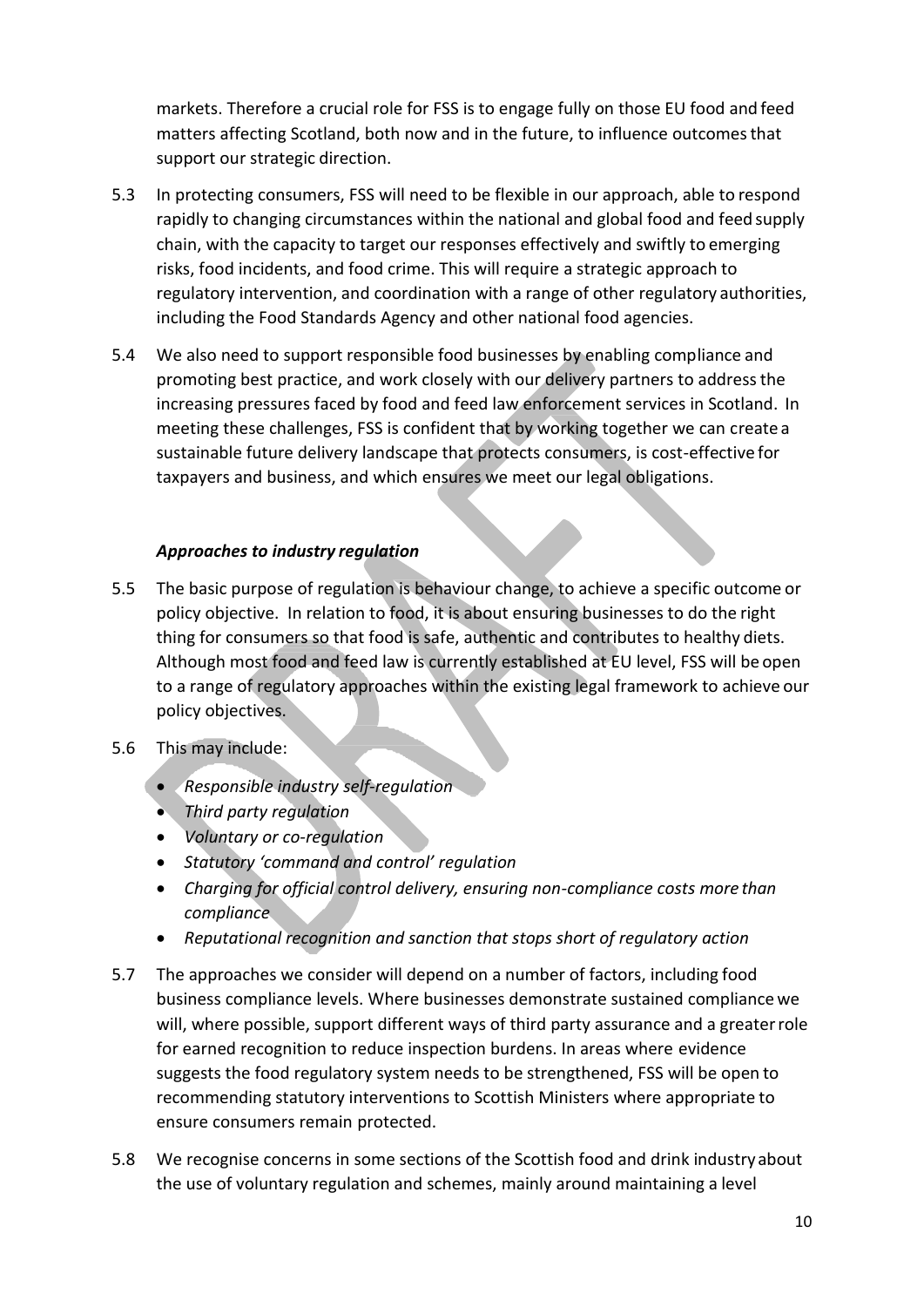markets. Therefore a crucial role for FSS is to engage fully on those EU food and feed matters affecting Scotland, both now and in the future, to influence outcomesthat support our strategic direction.

- 5.3 In protecting consumers, FSS will need to be flexible in our approach, able to respond rapidly to changing circumstances within the national and global food and feed supply chain, with the capacity to target our responses effectively and swiftly to emerging risks, food incidents, and food crime. This will require a strategic approach to regulatory intervention, and coordination with a range of other regulatory authorities, including the Food Standards Agency and other national food agencies.
- 5.4 We also need to support responsible food businesses by enabling compliance and promoting best practice, and work closely with our delivery partners to addressthe increasing pressures faced by food and feed law enforcement services in Scotland. In meeting these challenges, FSS is confident that by working together we can create a sustainable future delivery landscape that protects consumers, is cost-effective for taxpayers and business, and which ensures we meet our legal obligations.

## *Approaches to industry regulation*

- 5.5 The basic purpose of regulation is behaviour change, to achieve a specific outcome or policy objective. In relation to food, it is about ensuring businesses to do the right thing for consumers so that food is safe, authentic and contributes to healthy diets. Although most food and feed law is currently established at EU level, FSS will be open to a range of regulatory approaches within the existing legal framework to achieve our policy objectives.
- 5.6 This may include:
	- *Responsible industry self-regulation*
	- *Third party regulation*
	- *Voluntary or co-regulation*
	- *Statutory 'command and control' regulation*
	- *Charging for official control delivery, ensuring non-compliance costs more than compliance*
	- *Reputational recognition and sanction that stops short of regulatory action*
- 5.7 The approaches we consider will depend on a number of factors, including food business compliance levels. Where businesses demonstrate sustained compliance we will, where possible, support different ways of third party assurance and a greaterrole for earned recognition to reduce inspection burdens. In areas where evidence suggests the food regulatory system needs to be strengthened, FSS will be open to recommending statutory interventions to Scottish Ministers where appropriate to ensure consumers remain protected.
- 5.8 We recognise concerns in some sections of the Scottish food and drink industry about the use of voluntary regulation and schemes, mainly around maintaining a level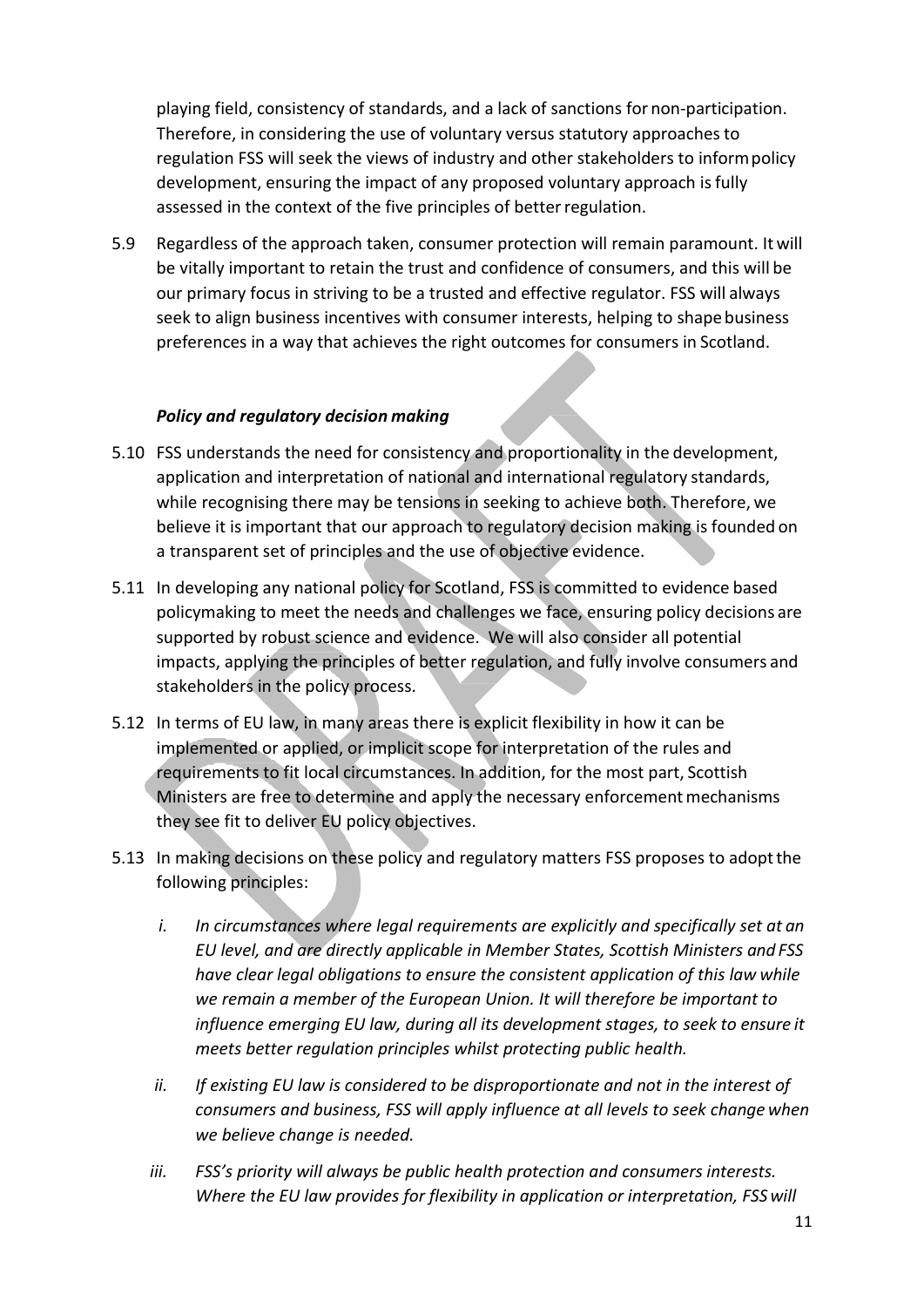playing field, consistency of standards, and a lack of sanctions for non-participation. Therefore, in considering the use of voluntary versus statutory approachesto regulation FSS will seek the views of industry and other stakeholders to informpolicy development, ensuring the impact of any proposed voluntary approach isfully assessed in the context of the five principles of better regulation.

5.9 Regardless of the approach taken, consumer protection will remain paramount. It will be vitally important to retain the trust and confidence of consumers, and this will be our primary focus in striving to be a trusted and effective regulator. FSS will always seek to align business incentives with consumer interests, helping to shape business preferences in a way that achieves the right outcomes for consumers in Scotland.

#### *Policy and regulatory decision making*

- 5.10 FSS understands the need for consistency and proportionality in the development, application and interpretation of national and international regulatory standards, while recognising there may be tensions in seeking to achieve both. Therefore, we believe it is important that our approach to regulatory decision making is founded on a transparent set of principles and the use of objective evidence.
- 5.11 In developing any national policy for Scotland, FSS is committed to evidence based policymaking to meet the needs and challenges we face, ensuring policy decisions are supported by robust science and evidence. We will also consider all potential impacts, applying the principles of better regulation, and fully involve consumers and stakeholders in the policy process.
- 5.12 In terms of EU law, in many areas there is explicit flexibility in how it can be implemented or applied, or implicit scope for interpretation of the rules and requirements to fit local circumstances. In addition, for the most part, Scottish Ministers are free to determine and apply the necessary enforcement mechanisms they see fit to deliver EU policy objectives.
- 5.13 In making decisions on these policy and regulatory matters FSS proposes to adopt the following principles:
	- *i. In circumstances where legal requirements are explicitly and specifically set at an EU level, and are directly applicable in Member States, Scottish Ministers and FSS have clear legal obligations to ensure the consistent application of this law while we remain a member of the European Union. It will therefore be important to influence emerging EU law, during all its development stages, to seek to ensure it meets better regulation principles whilst protecting public health.*
	- *ii. If existing EU law is considered to be disproportionate and not in the interest of consumers and business, FSS will apply influence at all levels to seek change when we believe change is needed.*
	- *iii. FSS's priority will always be public health protection and consumers interests. Where the EU law provides for flexibility in application or interpretation, FSSwill*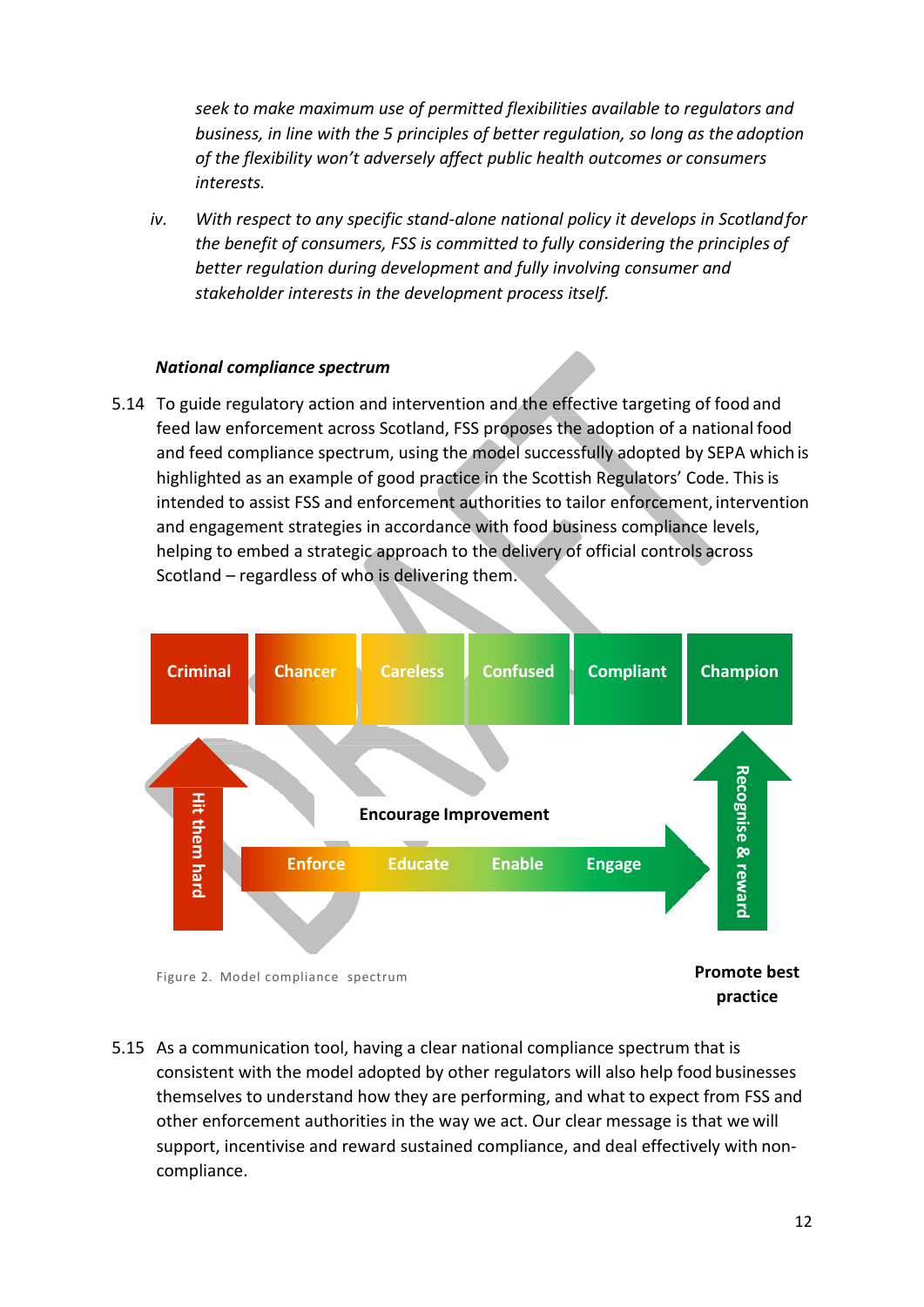*seek to make maximum use of permitted flexibilities available to regulators and business, in line with the 5 principles of better regulation, so long as the adoption of the flexibility won't adversely affect public health outcomes or consumers interests.*

*iv. With respect to any specific stand-alone national policy it develops in Scotlandfor the benefit of consumers, FSS is committed to fully considering the principles of better regulation during development and fully involving consumer and stakeholder interests in the development process itself.*

#### *National compliance spectrum*

5.14 To guide regulatory action and intervention and the effective targeting of food and feed law enforcement across Scotland, FSS proposes the adoption of a national food and feed compliance spectrum, using the model successfully adopted by SEPA which is highlighted as an example of good practice in the Scottish Regulators' Code. This is intended to assist FSS and enforcement authorities to tailor enforcement, intervention and engagement strategies in accordance with food business compliance levels, helping to embed a strategic approach to the delivery of official controls across Scotland – regardless of who is delivering them.





**practice**

5.15 As a communication tool, having a clear national compliance spectrum that is consistent with the model adopted by other regulators will also help food businesses themselves to understand how they are performing, and what to expect from FSS and other enforcement authorities in the way we act. Our clear message is that we will support, incentivise and reward sustained compliance, and deal effectively with noncompliance.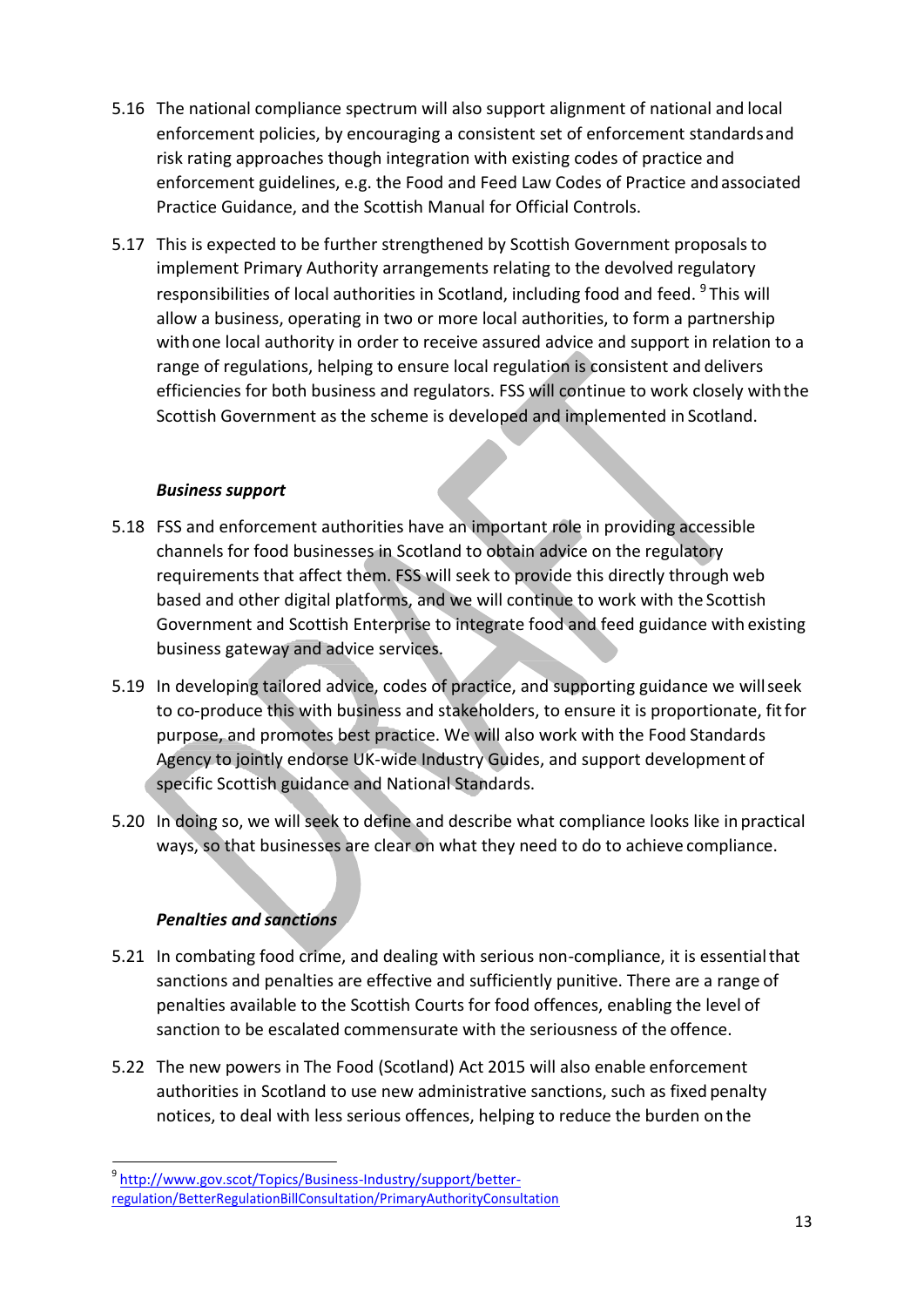- 5.16 The national compliance spectrum will also support alignment of national and local enforcement policies, by encouraging a consistent set of enforcement standardsand risk rating approaches though integration with existing codes of practice and enforcement guidelines, e.g. the Food and Feed Law Codes of Practice andassociated Practice Guidance, and the Scottish Manual for Official Controls.
- 5.17 This is expected to be further strengthened by Scottish Government proposalsto implement Primary Authority arrangements relating to the devolved regulatory responsibilities of local authorities in Scotland, including food and feed. <sup>9</sup>This will allow a business, operating in two or more local authorities, to form a partnership withone local authority in order to receive assured advice and support in relation to a range of regulations, helping to ensure local regulation is consistent and delivers efficiencies for both business and regulators. FSS will continue to work closely withthe Scottish Government as the scheme is developed and implemented in Scotland.

#### *Business support*

- 5.18 FSS and enforcement authorities have an important role in providing accessible channels for food businesses in Scotland to obtain advice on the regulatory requirements that affect them. FSS will seek to provide this directly through web based and other digital platforms, and we will continue to work with the Scottish Government and Scottish Enterprise to integrate food and feed guidance with existing business gateway and advice services.
- 5.19 In developing tailored advice, codes of practice, and supporting guidance we willseek to co-produce this with business and stakeholders, to ensure it is proportionate, fitfor purpose, and promotes best practice. We will also work with the Food Standards Agency to jointly endorse UK-wide Industry Guides, and support development of specific Scottish guidance and National Standards.
- 5.20 In doing so, we will seek to define and describe what compliance looks like in practical ways, so that businesses are clear on what they need to do to achieve compliance.

## *Penalties and sanctions*

- 5.21 In combating food crime, and dealing with serious non-compliance, it is essentialthat sanctions and penalties are effective and sufficiently punitive. There are a range of penalties available to the Scottish Courts for food offences, enabling the level of sanction to be escalated commensurate with the seriousness of the offence.
- 5.22 The new powers in The Food (Scotland) Act 2015 will also enable enforcement authorities in Scotland to use new administrative sanctions, such as fixed penalty notices, to deal with less serious offences, helping to reduce the burden onthe

<sup>9</sup> [http://www.gov.scot/Topics/Business-Industry/support/better](http://www.gov.scot/Topics/Business-Industry/support/better-regulation/BetterRegulationBillConsultation/PrimaryAuthorityConsultation)[regulation/BetterRegulationBillConsultation/PrimaryAuthorityConsultation](http://www.gov.scot/Topics/Business-Industry/support/better-regulation/BetterRegulationBillConsultation/PrimaryAuthorityConsultation)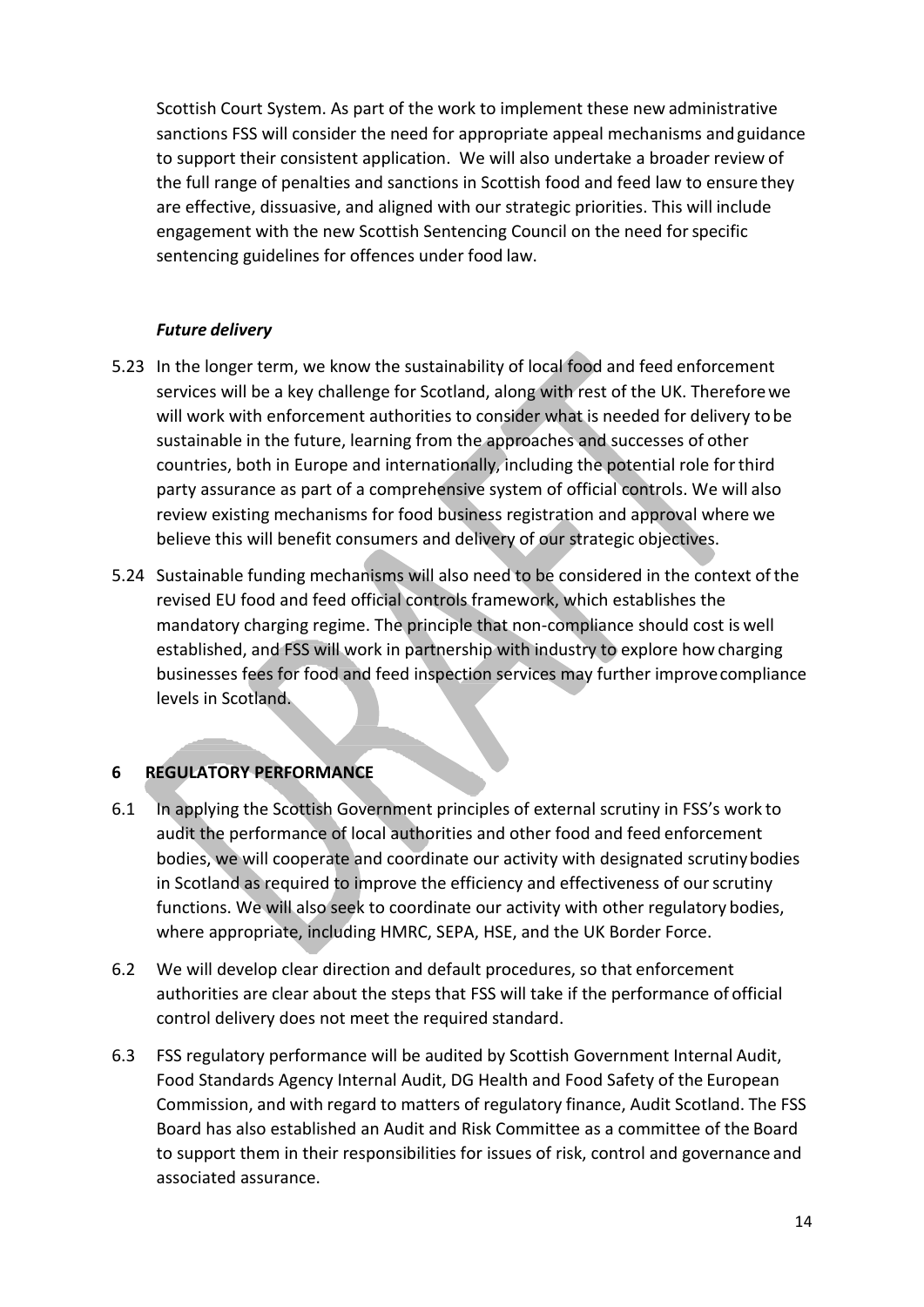Scottish Court System. As part of the work to implement these new administrative sanctions FSS will consider the need for appropriate appeal mechanisms and guidance to support their consistent application. We will also undertake a broader review of the full range of penalties and sanctions in Scottish food and feed law to ensure they are effective, dissuasive, and aligned with our strategic priorities. This will include engagement with the new Scottish Sentencing Council on the need forspecific sentencing guidelines for offences under food law.

## *Future delivery*

- 5.23 In the longer term, we know the sustainability of local food and feed enforcement services will be a key challenge for Scotland, along with rest of the UK. Thereforewe will work with enforcement authorities to consider what is needed for delivery tobe sustainable in the future, learning from the approaches and successes of other countries, both in Europe and internationally, including the potential role forthird party assurance as part of a comprehensive system of official controls. We will also review existing mechanisms for food business registration and approval where we believe this will benefit consumers and delivery of our strategic objectives.
- 5.24 Sustainable funding mechanisms will also need to be considered in the context ofthe revised EU food and feed official controls framework, which establishes the mandatory charging regime. The principle that non-compliance should cost is well established, and FSS will work in partnership with industry to explore how charging businesses fees for food and feed inspection services may further improvecompliance levels in Scotland.

## **6 REGULATORY PERFORMANCE**

- 6.1 In applying the Scottish Government principles of external scrutiny in FSS's work to audit the performance of local authorities and other food and feed enforcement bodies, we will cooperate and coordinate our activity with designated scrutinybodies in Scotland as required to improve the efficiency and effectiveness of ourscrutiny functions. We will also seek to coordinate our activity with other regulatory bodies, where appropriate, including HMRC, SEPA, HSE, and the UK Border Force.
- 6.2 We will develop clear direction and default procedures, so that enforcement authorities are clear about the steps that FSS will take if the performance of official control delivery does not meet the required standard.
- 6.3 FSS regulatory performance will be audited by Scottish Government Internal Audit, Food Standards Agency Internal Audit, DG Health and Food Safety of the European Commission, and with regard to matters of regulatory finance, Audit Scotland. The FSS Board has also established an Audit and Risk Committee as a committee of the Board to support them in their responsibilities for issues of risk, control and governance and associated assurance.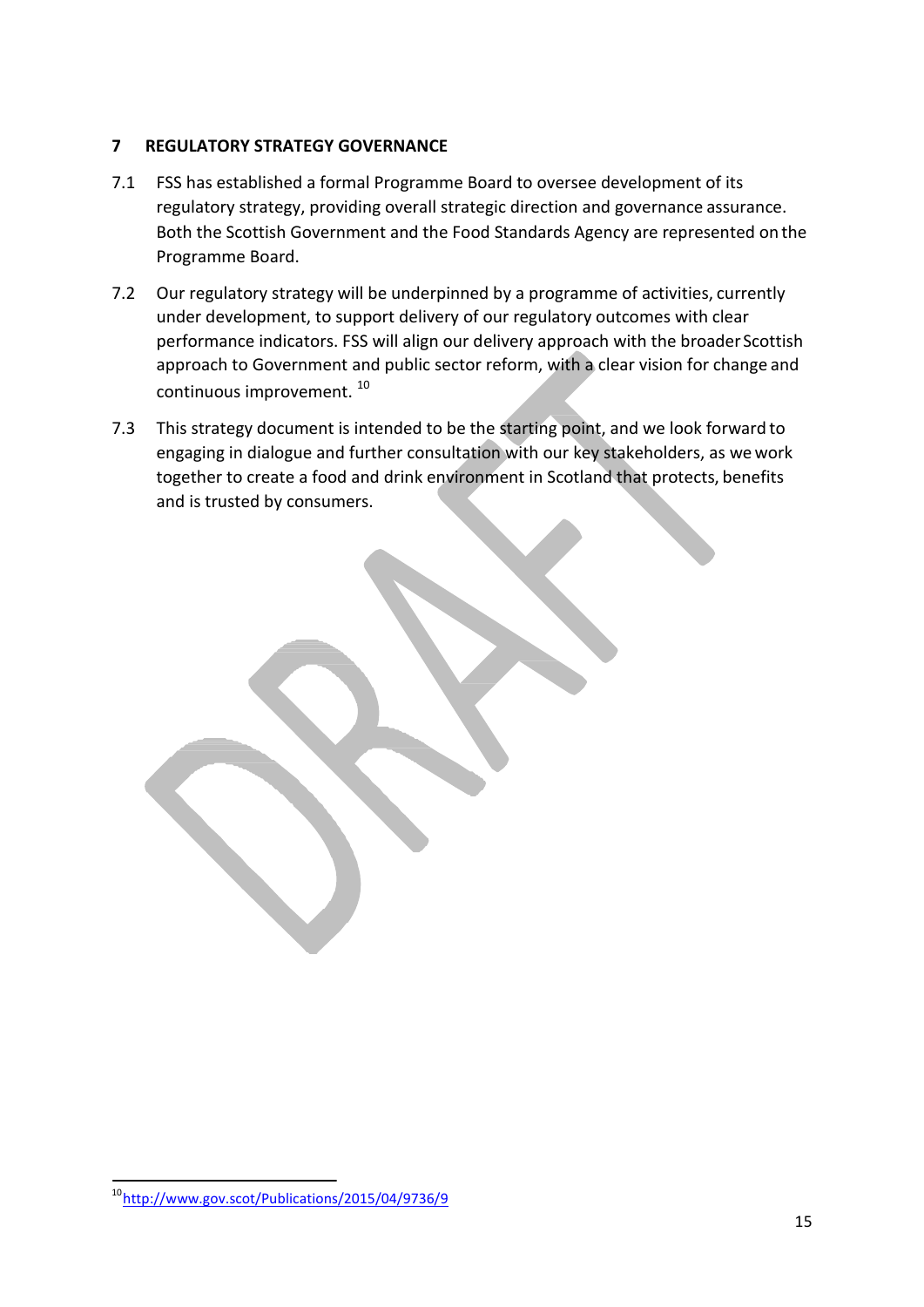## **7 REGULATORY STRATEGY GOVERNANCE**

- 7.1 FSS has established a formal Programme Board to oversee development of its regulatory strategy, providing overall strategic direction and governance assurance. Both the Scottish Government and the Food Standards Agency are represented on the Programme Board.
- 7.2 Our regulatory strategy will be underpinned by a programme of activities, currently under development, to support delivery of our regulatory outcomes with clear performance indicators. FSS will align our delivery approach with the broader Scottish approach to Government and public sector reform, with a clear vision for change and continuous improvement. <sup>10</sup>
- 7.3 This strategy document is intended to be the starting point, and we look forward to engaging in dialogue and further consultation with our key stakeholders, as wework together to create a food and drink environment in Scotland that protects, benefits and is trusted by consumers.

<sup>10</sup><http://www.gov.scot/Publications/2015/04/9736/9>